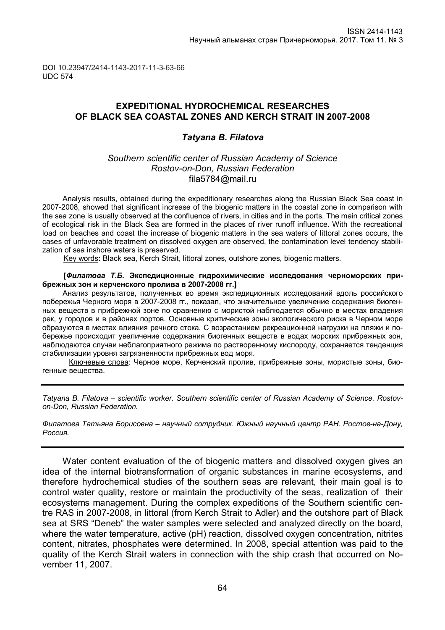DOI 10.23947/2414-1143-2017-11-3-63-66 UDC 574

# **EXPEDITIONAL HYDROCHEMICAL RESEARCHES OF BLACK SEA COASTAL ZONES AND KERCH STRAIT IN 2007-2008**

### *Tatyana B. Filatova*

### *Southern scientific center of Russian Academy of Science Rostov-on-Don, Russian Federation* fila5784@mail.ru

Analysis results, obtained during the expeditionary researches along the Russian Black Sea coast in 2007-2008, showed that significant increase of the biogenic matters in the coastal zone in comparison with the sea zone is usually observed at the confluence of rivers, in cities and in the ports. The main critical zones of ecological risk in the Black Sea are formed in the places of river runoff influence. With the recreational load on beaches and coast the increase of biogenic matters in the sea waters of littoral zones occurs, the cases of unfavorable treatment on dissolved oxygen are observed, the contamination level tendency stabilization of sea inshore waters is preserved.

Key words**:** Black sea, Kerch Strait, littoral zones, outshore zones, biogenic matters.

#### **[***Филатова Т.Б.* **Экспедиционные гидрохимические исследования черноморских прибрежных зон и керченского пролива в 2007-2008 гг.]**

Анализ результатов, полученных во время экспедиционных исследований вдоль российского побережья Черного моря в 2007-2008 гг., показал, что значительное увеличение содержания биогенных веществ в прибрежной зоне по сравнению с мористой наблюдается обычно в местах впадения рек, у городов и в районах портов. Основные критические зоны экологического риска в Черном море образуются в местах влияния речного стока. С возрастанием рекреационной нагрузки на пляжи и побережье происходит увеличение содержания биогенных веществ в водах морских прибрежных зон, наблюдаются случаи неблагоприятного режима по растворенному кислороду, сохраняется тенденция стабилизации уровня загрязненности прибрежных вод моря.

Ключевые слова: Черное море, Керченский пролив, прибрежные зоны, мористые зоны, биогенные вещества.

*Tatyana B. Filatova – scientific worker. Southern scientific center of Russian Academy of Science. Rostovon-Don, Russian Federation.* 

*Филатова Татьяна Борисовна – научный сотрудник. Южный научный центр РАН. Ростов-на-Дону, Россия.*

Water content evaluation of the of biogenic matters and dissolved oxygen gives an idea of the internal biotransformation of organic substances in marine ecosystems, and therefore hydrochemical studies of the southern seas are relevant, their main goal is to control water quality, restore or maintain the productivity of the seas, realization of their ecosystems management. During the complex expeditions of the Southern scientific centre RAS in 2007-2008, in littoral (from Kerch Strait to Adler) and the outshore part of Black sea at SRS "Deneb" the water samples were selected and analyzed directly on the board, where the water temperature, active (pH) reaction, dissolved oxygen concentration, nitrites content, nitrates, phosphates were determined. In 2008, special attention was paid to the quality of the Kerch Strait waters in connection with the ship crash that occurred on November 11, 2007.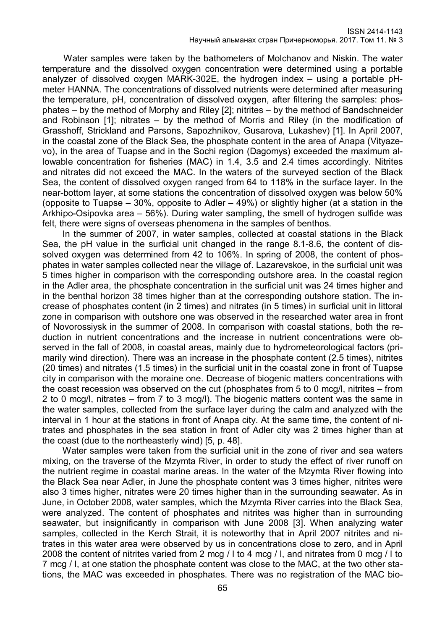Water samples were taken by the bathometers of Molchanov and Niskin. The water temperature and the dissolved oxygen concentration were determined using a portable analyzer of dissolved oxygen MARK-302E, the hydrogen index – using a portable pHmeter HANNA. The concentrations of dissolved nutrients were determined after measuring the temperature, pH, concentration of dissolved oxygen, after filtering the samples: phosphates – by the method of Morphy and Riley [2]; nitrites – by the method of Bandschneider and Robinson [1]; nitrates – by the method of Morris and Riley (in the modification of Grasshoff, Strickland and Parsons, Sapozhnikov, Gusarova, Lukashev) [1]. In April 2007, in the coastal zone of the Black Sea, the phosphate content in the area of Anapa (Vityazevo), in the area of Tuapse and in the Sochi region (Dagomys) exceeded the maximum allowable concentration for fisheries (MAC) in 1.4, 3.5 and 2.4 times accordingly. Nitrites and nitrates did not exceed the MAC. In the waters of the surveyed section of the Black Sea, the content of dissolved oxygen ranged from 64 to 118% in the surface layer. In the near-bottom layer, at some stations the concentration of dissolved oxygen was below 50% (opposite to Tuapse – 30%, opposite to Adler – 49%) or slightly higher (at a station in the Arkhipo-Osipovka area – 56%). During water sampling, the smell of hydrogen sulfide was felt, there were signs of overseas phenomena in the samples of benthos.

In the summer of 2007, in water samples, collected at coastal stations in the Black Sea, the pH value in the surficial unit changed in the range 8.1-8.6, the content of dissolved oxygen was determined from 42 to 106%. In spring of 2008, the content of phosphates in water samples collected near the village of. Lazarevskoe, in the surficial unit was 5 times higher in comparison with the corresponding outshore area. In the coastal region in the Adler area, the phosphate concentration in the surficial unit was 24 times higher and in the benthal horizon 38 times higher than at the corresponding outshore station. The increase of phosphates content (in 2 times) and nitrates (in 5 times) in surficial unit in littoral zone in comparison with outshore one was observed in the researched water area in front of Novorossiysk in the summer of 2008. In comparison with coastal stations, both the reduction in nutrient concentrations and the increase in nutrient concentrations were observed in the fall of 2008, in coastal areas, mainly due to hydrometeorological factors (primarily wind direction). There was an increase in the phosphate content (2.5 times), nitrites (20 times) and nitrates (1.5 times) in the surficial unit in the coastal zone in front of Tuapse city in comparison with the moraine one. Decrease of biogenic matters concentrations with the coast recession was observed on the cut (phosphates from 5 to 0 mcg/l, nitrites – from 2 to 0 mcg/l, nitrates – from 7 to 3 mcg/l). The biogenic matters content was the same in the water samples, collected from the surface layer during the calm and analyzed with the interval in 1 hour at the stations in front of Anapa city. At the same time, the content of nitrates and phosphates in the sea station in front of Adler city was 2 times higher than at the coast (due to the northeasterly wind) [5, p. 48].

Water samples were taken from the surficial unit in the zone of river and sea waters mixing, on the traverse of the Mzymta River, in order to study the effect of river runoff on the nutrient regime in coastal marine areas. In the water of the Mzymta River flowing into the Black Sea near Adler, in June the phosphate content was 3 times higher, nitrites were also 3 times higher, nitrates were 20 times higher than in the surrounding seawater. As in June, in October 2008, water samples, which the Mzymta River carries into the Black Sea, were analyzed. The content of phosphates and nitrites was higher than in surrounding seawater, but insignificantly in comparison with June 2008 [3]. When analyzing water samples, collected in the Kerch Strait, it is noteworthy that in April 2007 nitrites and nitrates in this water area were observed by us in concentrations close to zero, and in April 2008 the content of nitrites varied from 2 mcg / l to 4 mcg / l, and nitrates from 0 mcg / l to 7 mcg / l, at one station the phosphate content was close to the MAC, at the two other stations, the MAC was exceeded in phosphates. There was no registration of the MAC bio-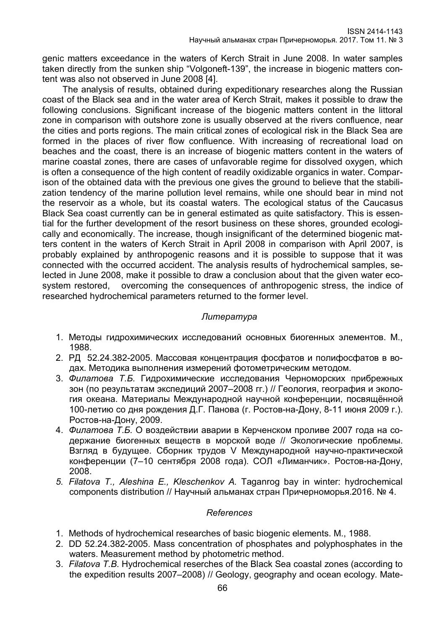genic matters exceedance in the waters of Kerch Strait in June 2008. In water samples taken directly from the sunken ship "Volgoneft-139", the increase in biogenic matters content was also not observed in June 2008 [4].

The analysis of results, obtained during expeditionary researches along the Russian coast of the Black sea and in the water area of Kerch Strait, makes it possible to draw the following conclusions. Significant increase of the biogenic matters content in the littoral zone in comparison with outshore zone is usually observed at the rivers confluence, near the cities and ports regions. The main critical zones of ecological risk in the Black Sea are formed in the places of river flow confluence. With increasing of recreational load on beaches and the coast, there is an increase of biogenic matters content in the waters of marine coastal zones, there are cases of unfavorable regime for dissolved oxygen, which is often a consequence of the high content of readily oxidizable organics in water. Comparison of the obtained data with the previous one gives the ground to believe that the stabilization tendency of the marine pollution level remains, while one should bear in mind not the reservoir as a whole, but its coastal waters. The ecological status of the Caucasus Black Sea coast currently can be in general estimated as quite satisfactory. This is essential for the further development of the resort business on these shores, grounded ecologically and economically. The increase, though insignificant of the determined biogenic matters content in the waters of Kerch Strait in April 2008 in comparison with April 2007, is probably explained by anthropogenic reasons and it is possible to suppose that it was connected with the occurred accident. The analysis results of hydrochemical samples, selected in June 2008, make it possible to draw a conclusion about that the given water ecosystem restored, overcoming the consequences of anthropogenic stress, the indice of researched hydrochemical parameters returned to the former level.

# *Литература*

- 1. Методы гидрохимических исследований основных биогенных элементов. М., 1988.
- 2. РД 52.24.382-2005. Массовая концентрация фосфатов и полифосфатов в водах. Методика выполнения измерений фотометрическим методом.
- 3. *Филатова Т.Б.* Гидрохимические исследования Черноморских прибрежных зон (по результатам экспедиций 2007–2008 гг.) // Геология, география и экология океана. Материалы Международной научной конференции, посвящённой 100-летию со дня рождения Д.Г. Панова (г. Ростов-на-Дону, 8-11 июня 2009 г.). Ростов-на-Дону, 2009.
- 4. *Филатова Т.Б.* О воздействии аварии в Керченском проливе 2007 года на содержание биогенных веществ в морской воде // Экологические проблемы. Взгляд в будущее. Сборник трудов V Международной научно-практической конференции (7–10 сентября 2008 года). СОЛ «Лиманчик». Ростов-на-Дону, 2008.
- *5. Filatova T., Aleshina E., Kleschenkov A.* [Taganrog bay in winter: hydrochemical](http://science-almanac.ru/documents/116/2016-04-08-Filatova-Alyoshina-Cleshchenkov.pdf)  components distribution // Научный альманах стран [Причерноморья.2](http://elibrary.ru/contents.asp?issueid=1569059)016. № 4.

## *References*

- 1. Methods of hydrochemical researches of basic biogenic elements. M., 1988.
- 2. DD 52.24.382-2005. Mass concentration of phosphates and polyphosphates in the waters. Measurement method by photometric method.
- 3. *Filatova T.B*. Hydrochemical reserches of the Black Sea coastal zones (according to the expedition results 2007–2008) // Geology, geography and ocean ecology. Mate-